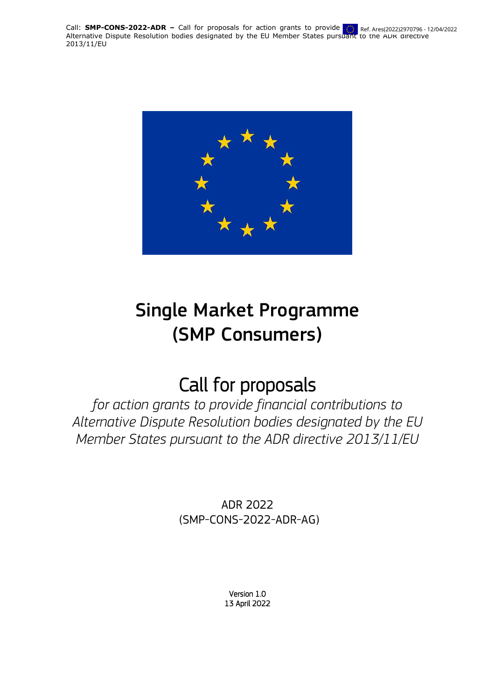**Call: <b>SMP-CONS-2022-ADR** – Call for proposals for action grants to provide  $\ddot{\mathbf{r}}$  Ref. Ares(2022)2970796 - 1 Lail: SMP-CONS-2022-ADR – Call for proposals for action grants to provide in Ref. Ares(2022)2970796 - 12/04/2022<br>Alternative Dispute Resolution bodies designated by the EU Member States pursuant to the ADR directive 2013/11/EU



# Single Market Programme (SMP Consumers)

# Call for proposals

*for action grants to provide financial contributions to Alternative Dispute Resolution bodies designated by the EU Member States pursuant to the ADR directive 2013/11/EU*

> ADR 2022 (SMP-CONS-2022-ADR-AG)

> > Version 1.0 13 April 2022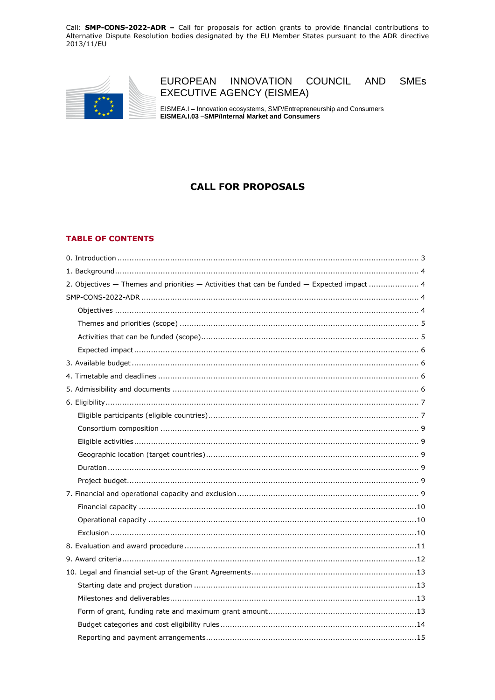

#### EUROPEAN INNOVATION COUNCIL **AND SMEs EXECUTIVE AGENCY (EISMEA)**

EISMEA.I - Innovation ecosystems, SMP/Entrepreneurship and Consumers EISMEA.I.03 -SMP/Internal Market and Consumers

# **CALL FOR PROPOSALS**

#### **TABLE OF CONTENTS**

| 2. Objectives - Themes and priorities - Activities that can be funded - Expected impact 4 |
|-------------------------------------------------------------------------------------------|
|                                                                                           |
|                                                                                           |
|                                                                                           |
|                                                                                           |
|                                                                                           |
|                                                                                           |
|                                                                                           |
|                                                                                           |
|                                                                                           |
|                                                                                           |
|                                                                                           |
|                                                                                           |
|                                                                                           |
|                                                                                           |
|                                                                                           |
|                                                                                           |
|                                                                                           |
|                                                                                           |
|                                                                                           |
|                                                                                           |
|                                                                                           |
|                                                                                           |
|                                                                                           |
|                                                                                           |
|                                                                                           |
|                                                                                           |
|                                                                                           |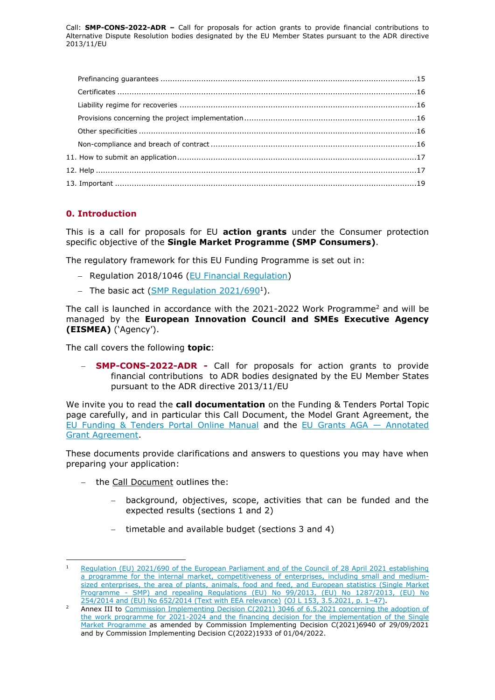# <span id="page-2-0"></span>**0. Introduction**

This is a call for proposals for EU **action grants** under the Consumer protection specific objective of the **Single Market Programme (SMP Consumers)**.

The regulatory framework for this EU Funding Programme is set out in:

- Regulation 2018/1046 [\(EU Financial Regulation\)](https://eur-lex.europa.eu/legal-content/EN/ALL/?uri=CELEX:32018R1046&qid=1535046024012)
- The basic act [\(SMP Regulation](https://eur-lex.europa.eu/legal-content/EN/TXT/?toc=OJ:L:2021:153:TOC&uri=uriserv:OJ.L_.2021.153.01.0001.01.ENG) 2021/690<sup>1</sup>).

The call is launched in accordance with the 2021-2022 Work Programme<sup>2</sup> and will be managed by the **European Innovation Council and SMEs Executive Agency (EISMEA)** ('Agency').

The call covers the following **topic**:

 **SMP-CONS-2022-ADR -** Call for proposals for action grants to provide financial contributions to ADR bodies designated by the EU Member States pursuant to the ADR directive 2013/11/EU

We invite you to read the **call documentation** on the Funding & Tenders Portal Topic page carefully, and in particular this Call Document, the Model Grant Agreement, the [EU Funding & Tenders Portal Online Manual](https://ec.europa.eu/info/funding-tenders/opportunities/docs/2021-2027/common/guidance/om_en.pdf) and the [EU Grants AGA](https://ec.europa.eu/info/funding-tenders/opportunities/docs/2021-2027/common/guidance/aga_en.pdf) — Annotated [Grant Agreement.](https://ec.europa.eu/info/funding-tenders/opportunities/docs/2021-2027/common/guidance/aga_en.pdf)

These documents provide clarifications and answers to questions you may have when preparing your application:

- the Call Document outlines the:

-

- background, objectives, scope, activities that can be funded and the expected results (sections 1 and 2)
- timetable and available budget (sections 3 and 4)

Regulation (EU) 2021/690 of the European Parliament and of the Council of 28 April 2021 establishing [a programme for the internal market, competitiveness of enterprises, including small and medium](https://eur-lex.europa.eu/legal-content/EN/TXT/?toc=OJ:L:2021:153:TOC&uri=uriserv:OJ.L_.2021.153.01.0001.01.ENG)sized enterprises, the area of plants, animals, food and feed, and European statistics (Single Market Programme - [SMP\) and repealing Regulations \(EU\) No 99/2013, \(EU\) No 1287/2013, \(EU\) No](https://eur-lex.europa.eu/legal-content/EN/TXT/?toc=OJ:L:2021:153:TOC&uri=uriserv:OJ.L_.2021.153.01.0001.01.ENG)  [254/2014 and \(EU\) No 652/2014 \(Text with EEA relevance\)](https://eur-lex.europa.eu/legal-content/EN/TXT/?toc=OJ:L:2021:153:TOC&uri=uriserv:OJ.L_.2021.153.01.0001.01.ENG) (OJ L 153, 3.5.2021, p. 1–47).

<sup>2</sup> Annex III to [Commission Implementing Decision C\(2021\) 3046 of 6.5.2021 concerning the adoption of](https://ec.europa.eu/info/publications/210506-financing-single-market-programme-decision_en)  [the work programme for 2021-2024 and the financing decision for the implementation of the Single](https://ec.europa.eu/info/publications/210506-financing-single-market-programme-decision_en)  Market Programme [as amended by Commission Implementing Decision C\(2021\)6940 of 29/09/2021](https://ec.europa.eu/info/publications/210506-financing-single-market-programme-decision_en)  [and by Commission Implementing Decision C\(2022\)1933 of 01/04/2022.](https://ec.europa.eu/info/publications/210506-financing-single-market-programme-decision_en)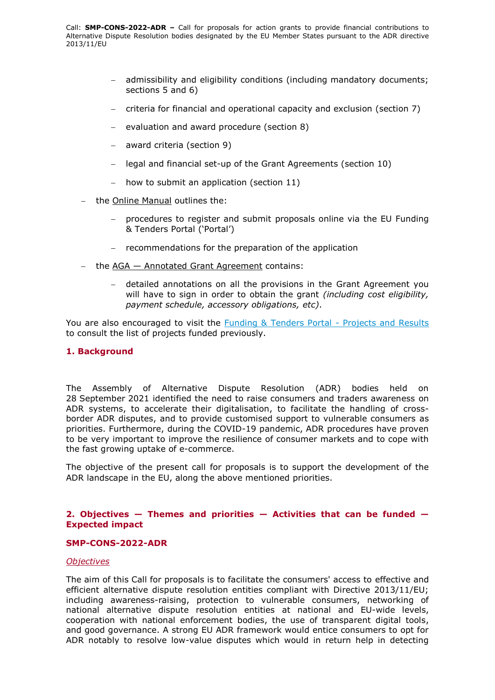- admissibility and eligibility conditions (including mandatory documents; sections 5 and 6)
- $-$  criteria for financial and operational capacity and exclusion (section 7)
- evaluation and award procedure (section 8)
- award criteria (section 9)
- legal and financial set-up of the Grant Agreements (section 10)
- how to submit an application (section 11)
- the Online Manual outlines the:
	- procedures to register and submit proposals online via the EU Funding & Tenders Portal ('Portal')
	- $-$  recommendations for the preparation of the application
- the  $AGA Annotated Grant Agreement contains:$ 
	- detailed annotations on all the provisions in the Grant Agreement you will have to sign in order to obtain the grant *(including cost eligibility, payment schedule, accessory obligations, etc)*.

You are also encouraged to visit the **Funding & Tenders Portal - Projects and Results** to consult the list of projects funded previously.

# <span id="page-3-0"></span>**1. Background**

The Assembly of Alternative Dispute Resolution (ADR) bodies held on 28 September 2021 identified the need to raise consumers and traders awareness on ADR systems, to accelerate their digitalisation, to facilitate the handling of crossborder ADR disputes, and to provide customised support to vulnerable consumers as priorities. Furthermore, during the COVID-19 pandemic, ADR procedures have proven to be very important to improve the resilience of consumer markets and to cope with the fast growing uptake of e-commerce.

The objective of the present call for proposals is to support the development of the ADR landscape in the EU, along the above mentioned priorities.

# <span id="page-3-1"></span>**2. Objectives — Themes and priorities — Activities that can be funded — Expected impact**

#### <span id="page-3-2"></span>**SMP-CONS-2022-ADR**

#### <span id="page-3-3"></span>*Objectives*

The aim of this Call for proposals is to facilitate the consumers' access to effective and efficient alternative dispute resolution entities compliant with Directive 2013/11/EU; including awareness-raising, protection to vulnerable consumers, networking of national alternative dispute resolution entities at national and EU-wide levels, cooperation with national enforcement bodies, the use of transparent digital tools, and good governance. A strong EU ADR framework would entice consumers to opt for ADR notably to resolve low-value disputes which would in return help in detecting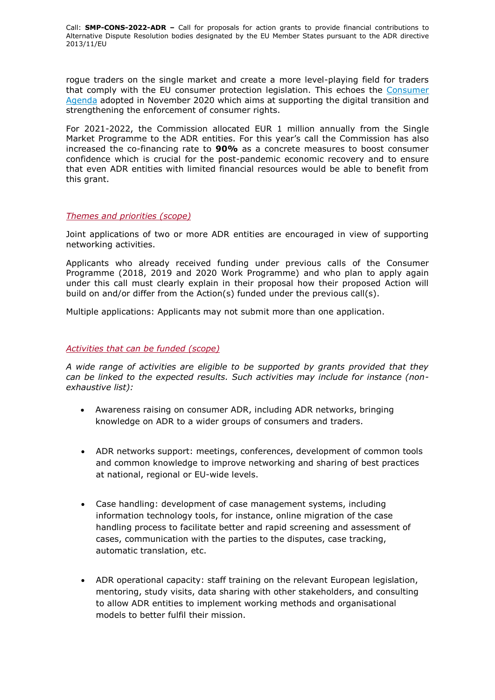rogue traders on the single market and create a more level-playing field for traders that comply with the EU consumer protection legislation. This echoes the [Consumer](https://eur-lex.europa.eu/legal-content/EN/TXT/?uri=CELEX:52020DC0696)  [Agenda](https://eur-lex.europa.eu/legal-content/EN/TXT/?uri=CELEX:52020DC0696) adopted in November 2020 which aims at supporting the digital transition and strengthening the enforcement of consumer rights.

For 2021-2022, the Commission allocated EUR 1 million annually from the Single Market Programme to the ADR entities. For this year's call the Commission has also increased the co-financing rate to **90%** as a concrete measures to boost consumer confidence which is crucial for the post-pandemic economic recovery and to ensure that even ADR entities with limited financial resources would be able to benefit from this grant.

#### <span id="page-4-0"></span>*Themes and priorities (scope)*

Joint applications of two or more ADR entities are encouraged in view of supporting networking activities.

Applicants who already received funding under previous calls of the Consumer Programme (2018, 2019 and 2020 Work Programme) and who plan to apply again under this call must clearly explain in their proposal how their proposed Action will build on and/or differ from the Action(s) funded under the previous call(s).

Multiple applications: Applicants may not submit more than one application.

#### <span id="page-4-1"></span>*Activities that can be funded (scope)*

*A wide range of activities are eligible to be supported by grants provided that they can be linked to the expected results. Such activities may include for instance (nonexhaustive list):*

- Awareness raising on consumer ADR, including ADR networks, bringing knowledge on ADR to a wider groups of consumers and traders.
- ADR networks support: meetings, conferences, development of common tools and common knowledge to improve networking and sharing of best practices at national, regional or EU-wide levels.
- Case handling: development of case management systems, including information technology tools, for instance, online migration of the case handling process to facilitate better and rapid screening and assessment of cases, communication with the parties to the disputes, case tracking, automatic translation, etc.
- ADR operational capacity: staff training on the relevant European legislation, mentoring, study visits, data sharing with other stakeholders, and consulting to allow ADR entities to implement working methods and organisational models to better fulfil their mission.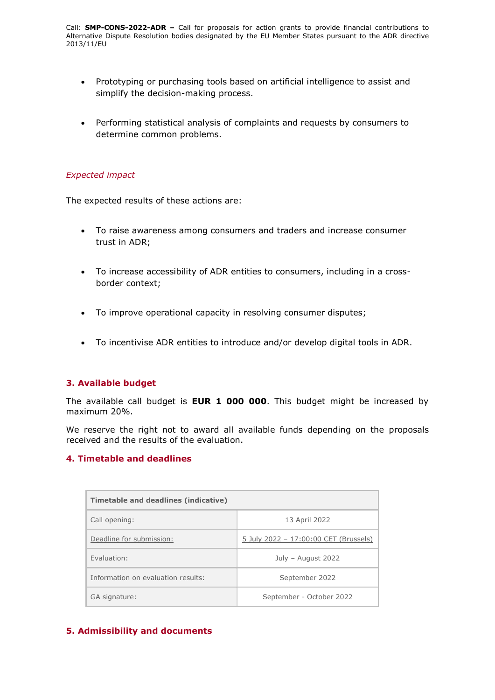- Prototyping or purchasing tools based on artificial intelligence to assist and simplify the decision-making process.
- Performing statistical analysis of complaints and requests by consumers to determine common problems.

### <span id="page-5-0"></span>*Expected impact*

The expected results of these actions are:

- To raise awareness among consumers and traders and increase consumer trust in ADR;
- To increase accessibility of ADR entities to consumers, including in a crossborder context;
- To improve operational capacity in resolving consumer disputes;
- To incentivise ADR entities to introduce and/or develop digital tools in ADR.

# <span id="page-5-1"></span>**3. Available budget**

The available call budget is **EUR 1 000 000**. This budget might be increased by maximum 20%.

We reserve the right not to award all available funds depending on the proposals received and the results of the evaluation.

# <span id="page-5-2"></span>**4. Timetable and deadlines**

| Timetable and deadlines (indicative) |                                       |  |
|--------------------------------------|---------------------------------------|--|
| Call opening:                        | 13 April 2022                         |  |
| Deadline for submission:             | 5 July 2022 - 17:00:00 CET (Brussels) |  |
| Fyaluation:                          | July - August 2022                    |  |
| Information on evaluation results:   | September 2022                        |  |
| GA signature:                        | September - October 2022              |  |

# <span id="page-5-3"></span>**5. Admissibility and documents**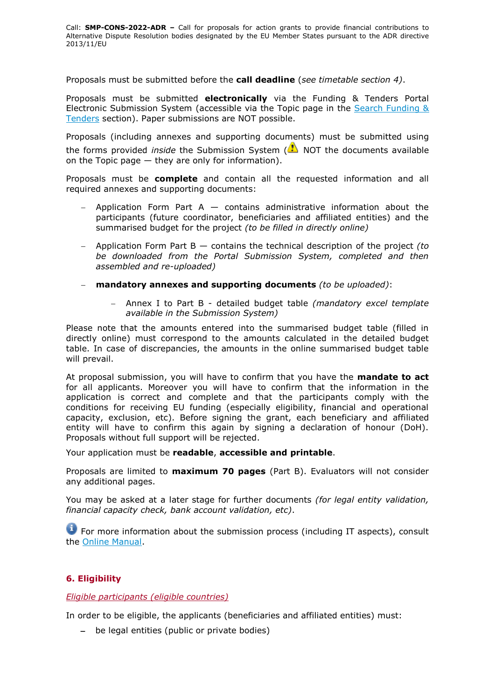Proposals must be submitted before the **call deadline** (*see timetable section 4)*.

Proposals must be submitted **electronically** via the Funding & Tenders Portal Electronic Submission System (accessible via the Topic page in the [Search Funding &](https://ec.europa.eu/info/funding-tenders/opportunities/portal/screen/opportunities/topic-search;freeTextSearchKeyword=;typeCodes=0,1;statusCodes=31094501,31094502,31094503;programCode=null;programDivisionCode=null;focusAreaCode=null;crossCuttingPriorityCode=null;callCode=Default;sortQuery=openingDate;orderBy=asc;onlyTenders=false;topicListKey=topicSearchTablePageState)  [Tenders](https://ec.europa.eu/info/funding-tenders/opportunities/portal/screen/opportunities/topic-search;freeTextSearchKeyword=;typeCodes=0,1;statusCodes=31094501,31094502,31094503;programCode=null;programDivisionCode=null;focusAreaCode=null;crossCuttingPriorityCode=null;callCode=Default;sortQuery=openingDate;orderBy=asc;onlyTenders=false;topicListKey=topicSearchTablePageState) section). Paper submissions are NOT possible.

Proposals (including annexes and supporting documents) must be submitted using the forms provided *inside* the Submission System (**AN** NOT the documents available on the Topic page  $-$  they are only for information).

Proposals must be **complete** and contain all the requested information and all required annexes and supporting documents:

- Application Form Part  $A -$  contains administrative information about the participants (future coordinator, beneficiaries and affiliated entities) and the summarised budget for the project *(to be filled in directly online)*
- Application Form Part B contains the technical description of the project *(to be downloaded from the Portal Submission System, completed and then assembled and re-uploaded)*
- **mandatory annexes and supporting documents** *(to be uploaded)*:
	- Annex I to Part B detailed budget table *(mandatory excel template available in the Submission System)*

Please note that the amounts entered into the summarised budget table (filled in directly online) must correspond to the amounts calculated in the detailed budget table. In case of discrepancies, the amounts in the online summarised budget table will prevail.

At proposal submission, you will have to confirm that you have the **mandate to act** for all applicants. Moreover you will have to confirm that the information in the application is correct and complete and that the participants comply with the conditions for receiving EU funding (especially eligibility, financial and operational capacity, exclusion, etc). Before signing the grant, each beneficiary and affiliated entity will have to confirm this again by signing a declaration of honour (DoH). Proposals without full support will be rejected.

Your application must be **readable**, **accessible and printable**.

Proposals are limited to **maximum 70 pages** (Part B). Evaluators will not consider any additional pages.

You may be asked at a later stage for further documents *(for legal entity validation, financial capacity check, bank account validation, etc)*.

**T** For more information about the submission process (including IT aspects), consult the [Online Manual.](https://ec.europa.eu/info/funding-tenders/opportunities/docs/2021-2027/common/guidance/om_en.pdf)

# <span id="page-6-0"></span>**6. Eligibility**

<span id="page-6-1"></span>*Eligible participants (eligible countries)*

In order to be eligible, the applicants (beneficiaries and affiliated entities) must:

- be legal entities (public or private bodies)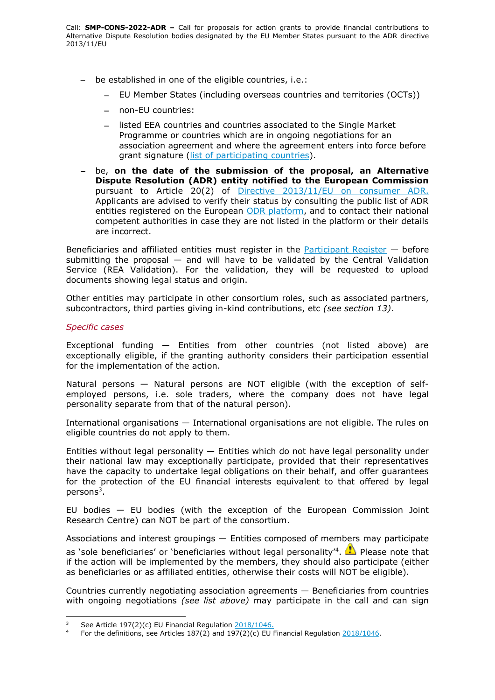- be established in one of the eligible countries, i.e.:
	- EU Member States (including overseas countries and territories (OCTs))
	- non-EU countries:
	- listed EEA countries and countries associated to the Single Market Programme or countries which are in ongoing negotiations for an association agreement and where the agreement enters into force before grant signature [\(list of participating countries\)](https://ec.europa.eu/info/funding-tenders/opportunities/docs/2021-2027/smp/guidance/list-3rd-country-participation_smp_en.pdf).
- be, **on the date of the submission of the proposal, an Alternative Dispute Resolution (ADR) entity notified to the European Commission** pursuant to Article 20(2) of [Directive 2013/11/EU on consumer ADR.](https://eur-lex.europa.eu/legal-content/EN/TXT/?uri=celex%3A32013L0011) Applicants are advised to verify their status by consulting the public list of ADR entities registered on the European [ODR platform,](https://ec.europa.eu/consumers/odr/main/?event=main.adr.show2) and to contact their national competent authorities in case they are not listed in the platform or their details are incorrect.

Beneficiaries and affiliated entities must register in the [Participant Register](https://ec.europa.eu/info/funding-tenders/opportunities/portal/screen/how-to-participate/participant-register)  $-$  before submitting the proposal  $-$  and will have to be validated by the Central Validation Service (REA Validation). For the validation, they will be requested to upload documents showing legal status and origin.

Other entities may participate in other consortium roles, such as associated partners, subcontractors, third parties giving in-kind contributions, etc *(see section 13)*.

# *Specific cases*

Exceptional funding — Entities from other countries (not listed above) are exceptionally eligible, if the granting authority considers their participation essential for the implementation of the action.

Natural persons — Natural persons are NOT eligible (with the exception of selfemployed persons, i.e. sole traders, where the company does not have legal personality separate from that of the natural person).

International organisations — International organisations are not eligible. The rules on eligible countries do not apply to them.

Entities without legal personality  $-$  Entities which do not have legal personality under their national law may exceptionally participate, provided that their representatives have the capacity to undertake legal obligations on their behalf, and offer guarantees for the protection of the EU financial interests equivalent to that offered by legal persons<sup>3</sup>.

EU bodies — EU bodies (with the exception of the European Commission Joint Research Centre) can NOT be part of the consortium.

Associations and interest groupings — Entities composed of members may participate as 'sole beneficiaries' or 'beneficiaries without legal personality'<sup>4</sup>. **The Please note that** if the action will be implemented by the members, they should also participate (either as beneficiaries or as affiliated entities, otherwise their costs will NOT be eligible).

Countries currently negotiating association agreements — Beneficiaries from countries with ongoing negotiations *(see list above)* may participate in the call and can sign

 $\overline{3}$ <sup>3</sup> See Article 197(2)(c) EU Financial Regulation  $\frac{2018/1046}{201}$ .

For the definitions, see Articles 187(2) and 197(2)(c) EU Financial Regulation  $\frac{2018/1046}{1000}$ .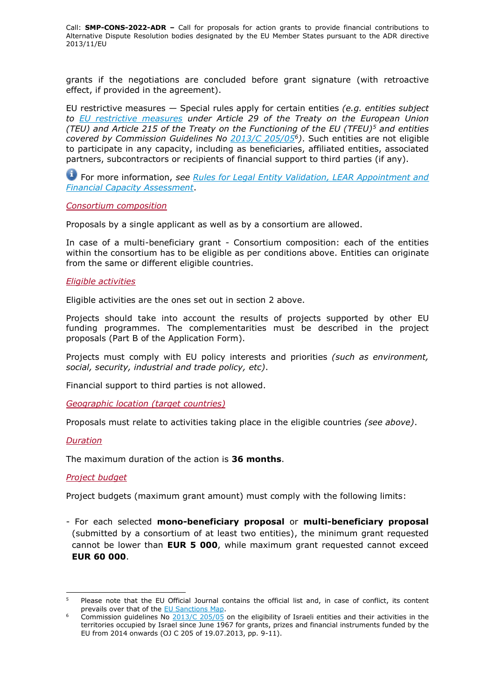grants if the negotiations are concluded before grant signature (with retroactive effect, if provided in the agreement).

EU restrictive measures — Special rules apply for certain entities *(e.g. entities subject to [EU restrictive measures](http://www.sanctionsmap.eu/) under Article 29 of the Treaty on the European Union (TEU) and Article 215 of the Treaty on the Functioning of the EU (TFEU)<sup>5</sup> and entities covered by Commission Guidelines No [2013/C 205/05](http://eur-lex.europa.eu/LexUriServ/LexUriServ.do?uri=OJ:C:2013:205:FULL:EN:PDF)<sup>6</sup> )*. Such entities are not eligible to participate in any capacity, including as beneficiaries, affiliated entities, associated partners, subcontractors or recipients of financial support to third parties (if any).

For more information, *see [Rules for Legal Entity Validation, LEAR Appointment and](https://ec.europa.eu/info/funding-tenders/opportunities/docs/2021-2027/common/guidance/rules-lev-lear-fca_en.pdf)  [Financial Capacity Assessment](https://ec.europa.eu/info/funding-tenders/opportunities/docs/2021-2027/common/guidance/rules-lev-lear-fca_en.pdf)*.

<span id="page-8-0"></span>*Consortium composition*

Proposals by a single applicant as well as by a consortium are allowed.

In case of a multi-beneficiary grant - Consortium composition: each of the entities within the consortium has to be eligible as per conditions above. Entities can originate from the same or different eligible countries.

#### <span id="page-8-1"></span>*Eligible activities*

Eligible activities are the ones set out in section 2 above.

Projects should take into account the results of projects supported by other EU funding programmes. The complementarities must be described in the project proposals (Part B of the Application Form).

Projects must comply with EU policy interests and priorities *(such as environment, social, security, industrial and trade policy, etc)*.

Financial support to third parties is not allowed.

<span id="page-8-2"></span>*Geographic location (target countries)*

Proposals must relate to activities taking place in the eligible countries *(see above)*.

#### <span id="page-8-3"></span>*Duration*

-

The maximum duration of the action is **36 months**.

#### <span id="page-8-4"></span>*Project budget*

Project budgets (maximum grant amount) must comply with the following limits:

- For each selected **mono-beneficiary proposal** or **multi-beneficiary proposal** (submitted by a consortium of at least two entities), the minimum grant requested cannot be lower than **EUR 5 000**, while maximum grant requested cannot exceed **EUR 60 000**.

<sup>&</sup>lt;sup>5</sup> Please note that the EU Official Journal contains the official list and, in case of conflict, its content prevails over that of the **EU Sanctions Map**.

Commission guidelines No  $\frac{2013}{C}$   $\frac{205}{05}$  on the eligibility of Israeli entities and their activities in the territories occupied by Israel since June 1967 for grants, prizes and financial instruments funded by the EU from 2014 onwards (OJ C 205 of 19.07.2013, pp. 9-11).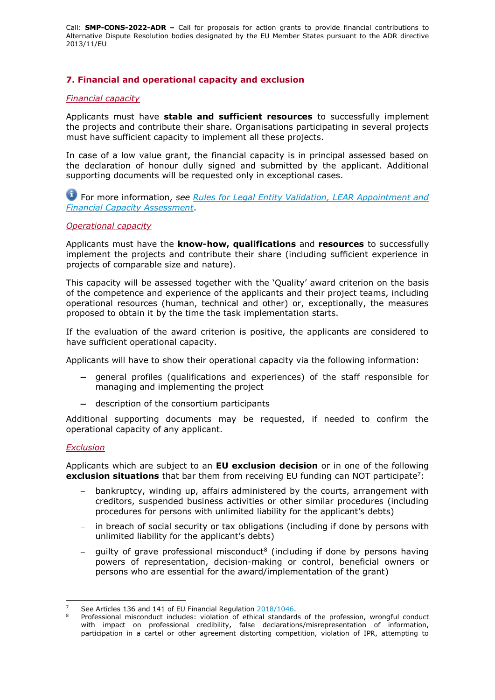# <span id="page-9-0"></span>**7. Financial and operational capacity and exclusion**

#### <span id="page-9-1"></span>*Financial capacity*

Applicants must have **stable and sufficient resources** to successfully implement the projects and contribute their share. Organisations participating in several projects must have sufficient capacity to implement all these projects.

In case of a low value grant, the financial capacity is in principal assessed based on the declaration of honour dully signed and submitted by the applicant. Additional supporting documents will be requested only in exceptional cases.

For more information, *see Rules for [Legal Entity Validation, LEAR Appointment and](https://ec.europa.eu/info/funding-tenders/opportunities/docs/2021-2027/common/guidance/rules-lev-lear-fca_en.pdf)  [Financial Capacity Assessment](https://ec.europa.eu/info/funding-tenders/opportunities/docs/2021-2027/common/guidance/rules-lev-lear-fca_en.pdf)*.

#### <span id="page-9-2"></span>*Operational capacity*

Applicants must have the **know-how, qualifications** and **resources** to successfully implement the projects and contribute their share (including sufficient experience in projects of comparable size and nature).

This capacity will be assessed together with the 'Quality' award criterion on the basis of the competence and experience of the applicants and their project teams, including operational resources (human, technical and other) or, exceptionally, the measures proposed to obtain it by the time the task implementation starts.

If the evaluation of the award criterion is positive, the applicants are considered to have sufficient operational capacity.

Applicants will have to show their operational capacity via the following information:

- general profiles (qualifications and experiences) of the staff responsible for managing and implementing the project
- description of the consortium participants

Additional supporting documents may be requested, if needed to confirm the operational capacity of any applicant.

#### <span id="page-9-3"></span>*Exclusion*

Applicants which are subject to an **EU exclusion decision** or in one of the following **exclusion situations** that bar them from receiving EU funding can NOT participate<sup>7</sup>:

- bankruptcy, winding up, affairs administered by the courts, arrangement with creditors, suspended business activities or other similar procedures (including procedures for persons with unlimited liability for the applicant's debts)
- in breach of social security or tax obligations (including if done by persons with unlimited liability for the applicant's debts)
- $-$  guilty of grave professional misconduct<sup>8</sup> (including if done by persons having powers of representation, decision-making or control, beneficial owners or persons who are essential for the award/implementation of the grant)

<sup>-</sup><sup>7</sup> See Articles 136 and 141 of EU Financial Regulation [2018/1046.](https://eur-lex.europa.eu/legal-content/EN/ALL/?uri=CELEX:32018R1046&qid=1535046024012)

<sup>8</sup> Professional misconduct includes: violation of ethical standards of the profession, wrongful conduct with impact on professional credibility, false declarations/misrepresentation of information, participation in a cartel or other agreement distorting competition, violation of IPR, attempting to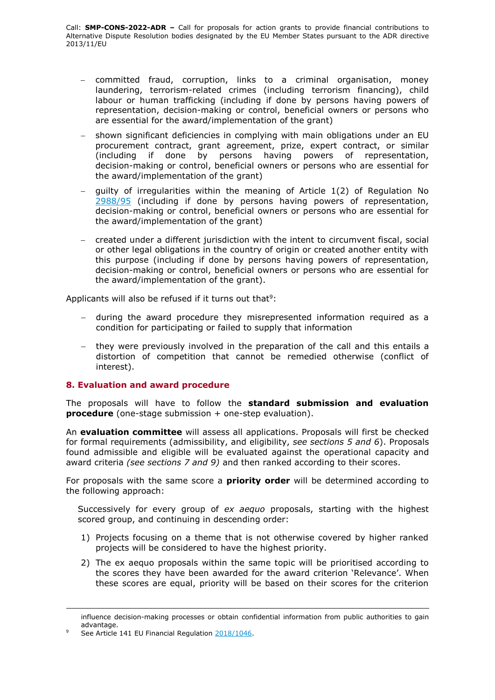- committed fraud, corruption, links to a criminal organisation, money laundering, terrorism-related crimes (including terrorism financing), child labour or human trafficking (including if done by persons having powers of representation, decision-making or control, beneficial owners or persons who are essential for the award/implementation of the grant)
- shown significant deficiencies in complying with main obligations under an EU procurement contract, grant agreement, prize, expert contract, or similar (including if done by persons having powers of representation, decision-making or control, beneficial owners or persons who are essential for the award/implementation of the grant)
- guilty of irregularities within the meaning of Article 1(2) of Regulation No [2988/95](http://eur-lex.europa.eu/legal-content/EN/ALL/?uri=CELEX:31995R2988&qid=1501598622514) (including if done by persons having powers of representation, decision-making or control, beneficial owners or persons who are essential for the award/implementation of the grant)
- created under a different jurisdiction with the intent to circumvent fiscal, social or other legal obligations in the country of origin or created another entity with this purpose (including if done by persons having powers of representation, decision-making or control, beneficial owners or persons who are essential for the award/implementation of the grant).

Applicants will also be refused if it turns out that<sup>9</sup>:

- during the award procedure they misrepresented information required as a condition for participating or failed to supply that information
- they were previously involved in the preparation of the call and this entails a distortion of competition that cannot be remedied otherwise (conflict of interest).

#### <span id="page-10-0"></span>**8. Evaluation and award procedure**

The proposals will have to follow the **standard submission and evaluation procedure** (one-stage submission + one-step evaluation).

An **evaluation committee** will assess all applications. Proposals will first be checked for formal requirements (admissibility, and eligibility, *see sections 5 and 6*). Proposals found admissible and eligible will be evaluated against the operational capacity and award criteria *(see sections 7 and 9)* and then ranked according to their scores.

For proposals with the same score a **priority order** will be determined according to the following approach:

Successively for every group of *ex aequo* proposals, starting with the highest scored group, and continuing in descending order:

- 1) Projects focusing on a theme that is not otherwise covered by higher ranked projects will be considered to have the highest priority.
- 2) The ex aequo proposals within the same topic will be prioritised according to the scores they have been awarded for the award criterion 'Relevance'. When these scores are equal, priority will be based on their scores for the criterion

-

influence decision-making processes or obtain confidential information from public authorities to gain advantage.

See Article 141 EU Financial Regulation [2018/1046.](https://eur-lex.europa.eu/legal-content/EN/ALL/?uri=CELEX:32018R1046&qid=1535046024012)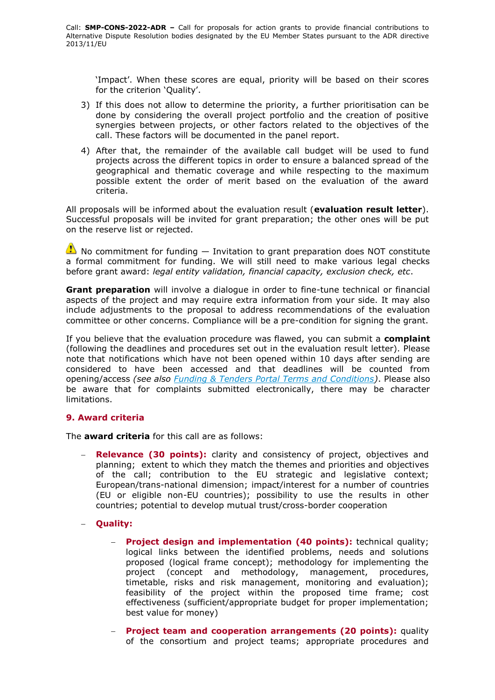'Impact'. When these scores are equal, priority will be based on their scores for the criterion 'Quality'.

- 3) If this does not allow to determine the priority, a further prioritisation can be done by considering the overall project portfolio and the creation of positive synergies between projects, or other factors related to the objectives of the call. These factors will be documented in the panel report.
- 4) After that, the remainder of the available call budget will be used to fund projects across the different topics in order to ensure a balanced spread of the geographical and thematic coverage and while respecting to the maximum possible extent the order of merit based on the evaluation of the award criteria.

All proposals will be informed about the evaluation result (**evaluation result letter**). Successful proposals will be invited for grant preparation; the other ones will be put on the reserve list or rejected.

 $\bullet$  No commitment for funding  $-$  Invitation to grant preparation does NOT constitute a formal commitment for funding. We will still need to make various legal checks before grant award: *legal entity validation, financial capacity, exclusion check, etc*.

**Grant preparation** will involve a dialogue in order to fine-tune technical or financial aspects of the project and may require extra information from your side. It may also include adjustments to the proposal to address recommendations of the evaluation committee or other concerns. Compliance will be a pre-condition for signing the grant.

If you believe that the evaluation procedure was flawed, you can submit a **complaint** (following the deadlines and procedures set out in the evaluation result letter). Please note that notifications which have not been opened within 10 days after sending are considered to have been accessed and that deadlines will be counted from opening/access *(see also [Funding & Tenders Portal Terms and Conditions\)](https://ec.europa.eu/info/funding-tenders/opportunities/docs/2021-2027/common/ftp/tc_en.pdf)*. Please also be aware that for complaints submitted electronically, there may be character limitations.

# <span id="page-11-0"></span>**9. Award criteria**

The **award criteria** for this call are as follows:

- **Relevance (30 points):** clarity and consistency of project, objectives and planning; extent to which they match the themes and priorities and objectives of the call; contribution to the EU strategic and legislative context; European/trans-national dimension; impact/interest for a number of countries (EU or eligible non-EU countries); possibility to use the results in other countries; potential to develop mutual trust/cross-border cooperation
- **Quality:**
	- **Project design and implementation (40 points):** technical quality; logical links between the identified problems, needs and solutions proposed (logical frame concept); methodology for implementing the project (concept and methodology, management, procedures, timetable, risks and risk management, monitoring and evaluation); feasibility of the project within the proposed time frame; cost effectiveness (sufficient/appropriate budget for proper implementation; best value for money)
	- **Project team and cooperation arrangements (20 points):** quality of the consortium and project teams; appropriate procedures and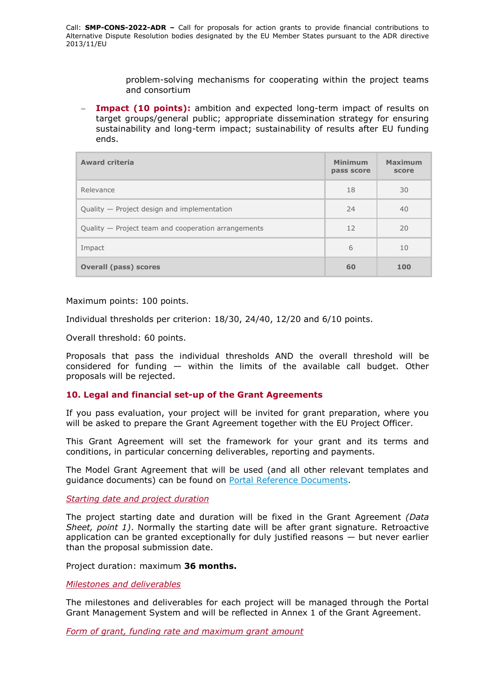problem-solving mechanisms for cooperating within the project teams and consortium

 **Impact (10 points):** ambition and expected long-term impact of results on target groups/general public; appropriate dissemination strategy for ensuring sustainability and long-term impact; sustainability of results after EU funding ends.

| <b>Award criteria</b>                               | <b>Minimum</b><br>pass score | <b>Maximum</b><br>score |
|-----------------------------------------------------|------------------------------|-------------------------|
| Relevance                                           | 18                           | 30                      |
| Quality - Project design and implementation         | 24                           | 40                      |
| Quality — Project team and cooperation arrangements | 12                           | 20                      |
| Impact                                              | 6                            | 10                      |
| <b>Overall (pass) scores</b>                        | 60                           | 100                     |

Maximum points: 100 points.

Individual thresholds per criterion: 18/30, 24/40, 12/20 and 6/10 points.

Overall threshold: 60 points.

Proposals that pass the individual thresholds AND the overall threshold will be considered for funding  $-$  within the limits of the available call budget. Other proposals will be rejected.

#### <span id="page-12-0"></span>**10. Legal and financial set-up of the Grant Agreements**

If you pass evaluation, your project will be invited for grant preparation, where you will be asked to prepare the Grant Agreement together with the EU Project Officer.

This Grant Agreement will set the framework for your grant and its terms and conditions, in particular concerning deliverables, reporting and payments.

The Model Grant Agreement that will be used (and all other relevant templates and guidance documents) can be found on [Portal Reference Documents.](https://ec.europa.eu/info/funding-tenders/opportunities/portal/screen/how-to-participate/reference-documents)

<span id="page-12-1"></span>*Starting date and project duration*

The project starting date and duration will be fixed in the Grant Agreement *(Data Sheet, point 1)*. Normally the starting date will be after grant signature. Retroactive application can be granted exceptionally for duly justified reasons  $-$  but never earlier than the proposal submission date.

Project duration: maximum **36 months.**

<span id="page-12-2"></span>*Milestones and deliverables*

The milestones and deliverables for each project will be managed through the Portal Grant Management System and will be reflected in Annex 1 of the Grant Agreement.

<span id="page-12-3"></span>*Form of grant, funding rate and maximum grant amount*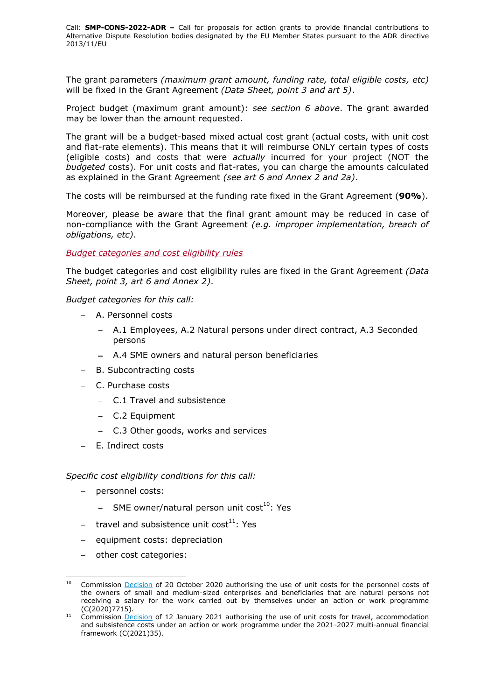The grant parameters *(maximum grant amount, funding rate, total eligible costs, etc)* will be fixed in the Grant Agreement *(Data Sheet, point 3 and art 5)*.

Project budget (maximum grant amount): *see section 6 above*. The grant awarded may be lower than the amount requested.

The grant will be a budget-based mixed actual cost grant (actual costs, with unit cost and flat-rate elements). This means that it will reimburse ONLY certain types of costs (eligible costs) and costs that were *actually* incurred for your project (NOT the *budgeted* costs). For unit costs and flat-rates, you can charge the amounts calculated as explained in the Grant Agreement *(see art 6 and Annex 2 and 2a)*.

The costs will be reimbursed at the funding rate fixed in the Grant Agreement (**90%**).

Moreover, please be aware that the final grant amount may be reduced in case of non-compliance with the Grant Agreement *(e.g. improper implementation, breach of obligations, etc)*.

#### <span id="page-13-0"></span>*Budget categories and cost eligibility rules*

The budget categories and cost eligibility rules are fixed in the Grant Agreement *(Data Sheet, point 3, art 6 and Annex 2)*.

*Budget categories for this call:*

- A. Personnel costs
	- A.1 Employees, A.2 Natural persons under direct contract, A.3 Seconded persons
	- A.4 SME owners and natural person beneficiaries
- B. Subcontracting costs
- C. Purchase costs
	- C.1 Travel and subsistence
	- C.2 Equipment
	- C.3 Other goods, works and services
- E. Indirect costs

#### *Specific cost eligibility conditions for this call:*

- personnel costs:

-

- $-$  SME owner/natural person unit cost<sup>10</sup>: Yes
- $-$  travel and subsistence unit cost<sup>11</sup>: Yes
- equipment costs: depreciation
- $-$  other cost categories:

Commission [Decision](https://ec.europa.eu/info/funding-tenders/opportunities/docs/2021-2027/common/guidance/unit-cost-decision-sme-owners-natural-persons_en.pdf) of 20 October 2020 authorising the use of unit costs for the personnel costs of the owners of small and medium-sized enterprises and beneficiaries that are natural persons not receiving a salary for the work carried out by themselves under an action or work programme (C(2020)7715).

 $11$  Commission [Decision](https://ec.europa.eu/info/funding-tenders/opportunities/docs/2021-2027/common/guidance/unit-cost-decision-travel_en.pdf) of 12 January 2021 authorising the use of unit costs for travel, accommodation and subsistence costs under an action or work programme under the 2021-2027 multi-annual financial framework (C(2021)35).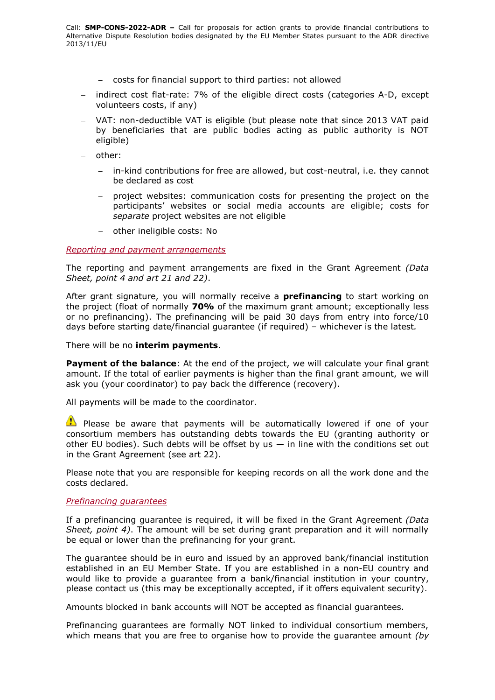- costs for financial support to third parties: not allowed
- indirect cost flat-rate: 7% of the eligible direct costs (categories A-D, except volunteers costs, if any)
- VAT: non-deductible VAT is eligible (but please note that since 2013 VAT paid by beneficiaries that are public bodies acting as public authority is NOT eligible)
- other:
	- in-kind contributions for free are allowed, but cost-neutral, i.e. they cannot be declared as cost
	- project websites: communication costs for presenting the project on the participants' websites or social media accounts are eligible; costs for *separate* project websites are not eligible
	- other ineligible costs: No

#### <span id="page-14-0"></span>*Reporting and payment arrangements*

The reporting and payment arrangements are fixed in the Grant Agreement *(Data Sheet, point 4 and art 21 and 22)*.

After grant signature, you will normally receive a **prefinancing** to start working on the project (float of normally **70%** of the maximum grant amount; exceptionally less or no prefinancing). The prefinancing will be paid 30 days from entry into force/10 days before starting date/financial guarantee (if required) – whichever is the latest*.*

There will be no **interim payments**.

**Payment of the balance**: At the end of the project, we will calculate your final grant amount. If the total of earlier payments is higher than the final grant amount, we will ask you (your coordinator) to pay back the difference (recovery).

All payments will be made to the coordinator.

 $\bullet$  Please be aware that payments will be automatically lowered if one of your consortium members has outstanding debts towards the EU (granting authority or other EU bodies). Such debts will be offset by us  $-$  in line with the conditions set out in the Grant Agreement (see art 22).

Please note that you are responsible for keeping records on all the work done and the costs declared.

#### <span id="page-14-1"></span>*Prefinancing guarantees*

If a prefinancing guarantee is required, it will be fixed in the Grant Agreement *(Data Sheet, point 4)*. The amount will be set during grant preparation and it will normally be equal or lower than the prefinancing for your grant.

The guarantee should be in euro and issued by an approved bank/financial institution established in an EU Member State. If you are established in a non-EU country and would like to provide a guarantee from a bank/financial institution in your country, please contact us (this may be exceptionally accepted, if it offers equivalent security).

Amounts blocked in bank accounts will NOT be accepted as financial guarantees.

Prefinancing guarantees are formally NOT linked to individual consortium members, which means that you are free to organise how to provide the guarantee amount *(by*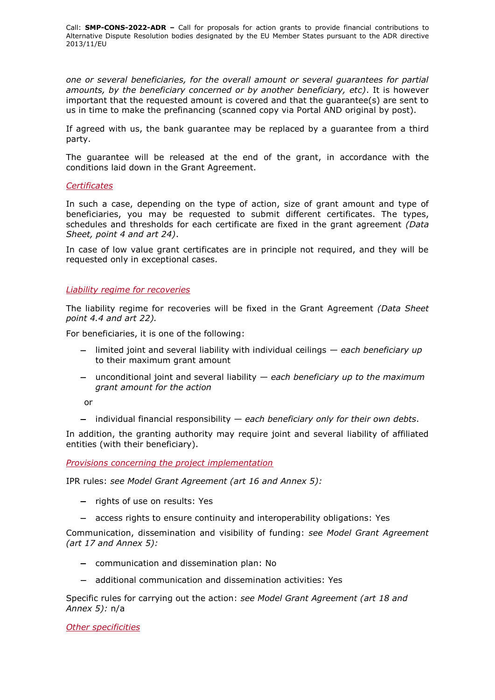*one or several beneficiaries, for the overall amount or several guarantees for partial amounts, by the beneficiary concerned or by another beneficiary, etc)*. It is however important that the requested amount is covered and that the guarantee(s) are sent to us in time to make the prefinancing (scanned copy via Portal AND original by post).

If agreed with us, the bank guarantee may be replaced by a guarantee from a third party.

The guarantee will be released at the end of the grant, in accordance with the conditions laid down in the Grant Agreement.

#### <span id="page-15-0"></span>*Certificates*

In such a case, depending on the type of action, size of grant amount and type of beneficiaries, you may be requested to submit different certificates. The types, schedules and thresholds for each certificate are fixed in the grant agreement *(Data Sheet, point 4 and art 24)*.

In case of low value grant certificates are in principle not required, and they will be requested only in exceptional cases.

#### <span id="page-15-1"></span>*Liability regime for recoveries*

The liability regime for recoveries will be fixed in the Grant Agreement *(Data Sheet point 4.4 and art 22).*

For beneficiaries, it is one of the following:

- limited joint and several liability with individual ceilings *each beneficiary up*  to their maximum grant amount
- unconditional joint and several liability *each beneficiary up to the maximum grant amount for the action*

or

individual financial responsibility — *each beneficiary only for their own debts*.

In addition, the granting authority may require joint and several liability of affiliated entities (with their beneficiary).

<span id="page-15-2"></span>*Provisions concerning the project implementation*

IPR rules: *see Model Grant Agreement (art 16 and Annex 5):*

- $-$  rights of use on results: Yes
- access rights to ensure continuity and interoperability obligations: Yes

Communication, dissemination and visibility of funding: *see Model Grant Agreement (art 17 and Annex 5):*

- communication and dissemination plan: No
- additional communication and dissemination activities: Yes

Specific rules for carrying out the action: *see Model Grant Agreement (art 18 and Annex 5):* n/a

<span id="page-15-3"></span>*Other specificities*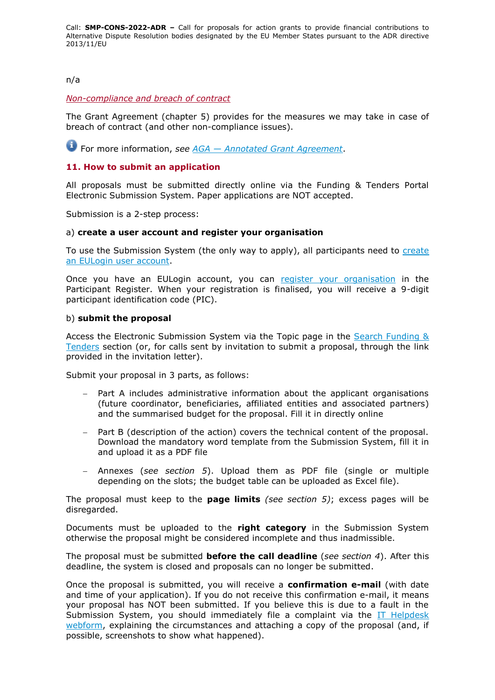# n/a

### <span id="page-16-0"></span>*Non-compliance and breach of contract*

The Grant Agreement (chapter 5) provides for the measures we may take in case of breach of contract (and other non-compliance issues).

For more information, *see AGA — [Annotated Grant Agreement](https://ec.europa.eu/info/funding-tenders/opportunities/docs/2021-2027/common/guidance/aga_en.pdf)*.

# <span id="page-16-1"></span>**11. How to submit an application**

All proposals must be submitted directly online via the Funding & Tenders Portal Electronic Submission System. Paper applications are NOT accepted.

Submission is a 2-step process:

#### a) **create a user account and register your organisation**

To use the Submission System (the only way to apply), all participants need to [create](https://webgate.ec.europa.eu/cas/eim/external/register.cgi)  [an EULogin user account.](https://webgate.ec.europa.eu/cas/eim/external/register.cgi)

Once you have an EULogin account, you can [register your organisation](https://ec.europa.eu/info/funding-tenders/opportunities/portal/screen/how-to-participate/participant-register) in the Participant Register. When your registration is finalised, you will receive a 9-digit participant identification code (PIC).

#### b) **submit the proposal**

Access the Electronic Submission System via the Topic page in the [Search Funding &](https://ec.europa.eu/info/funding-tenders/opportunities/portal/screen/opportunities/topic-search;freeTextSearchKeyword=;typeCodes=0,1;statusCodes=31094501,31094502,31094503;programCode=null;programDivisionCode=null;focusAreaCode=null;crossCuttingPriorityCode=null;callCode=Default;sortQuery=openingDate;orderBy=asc;onlyTenders=false;topicListKey=topicSearchTablePageState)  [Tenders](https://ec.europa.eu/info/funding-tenders/opportunities/portal/screen/opportunities/topic-search;freeTextSearchKeyword=;typeCodes=0,1;statusCodes=31094501,31094502,31094503;programCode=null;programDivisionCode=null;focusAreaCode=null;crossCuttingPriorityCode=null;callCode=Default;sortQuery=openingDate;orderBy=asc;onlyTenders=false;topicListKey=topicSearchTablePageState) section (or, for calls sent by invitation to submit a proposal, through the link provided in the invitation letter).

Submit your proposal in 3 parts, as follows:

- Part A includes administrative information about the applicant organisations (future coordinator, beneficiaries, affiliated entities and associated partners) and the summarised budget for the proposal. Fill it in directly online
- Part B (description of the action) covers the technical content of the proposal. Download the mandatory word template from the Submission System, fill it in and upload it as a PDF file
- Annexes (*see section 5*). Upload them as PDF file (single or multiple depending on the slots; the budget table can be uploaded as Excel file).

The proposal must keep to the **page limits** *(see section 5)*; excess pages will be disregarded.

Documents must be uploaded to the **right category** in the Submission System otherwise the proposal might be considered incomplete and thus inadmissible.

The proposal must be submitted **before the call deadline** (*see section 4*). After this deadline, the system is closed and proposals can no longer be submitted.

Once the proposal is submitted, you will receive a **confirmation e-mail** (with date and time of your application). If you do not receive this confirmation e-mail, it means your proposal has NOT been submitted. If you believe this is due to a fault in the Submission System, you should immediately file a complaint via the [IT Helpdesk](https://ec.europa.eu/info/funding-tenders/opportunities/portal/screen/support/helpdesks/contact-form)  [webform,](https://ec.europa.eu/info/funding-tenders/opportunities/portal/screen/support/helpdesks/contact-form) explaining the circumstances and attaching a copy of the proposal (and, if possible, screenshots to show what happened).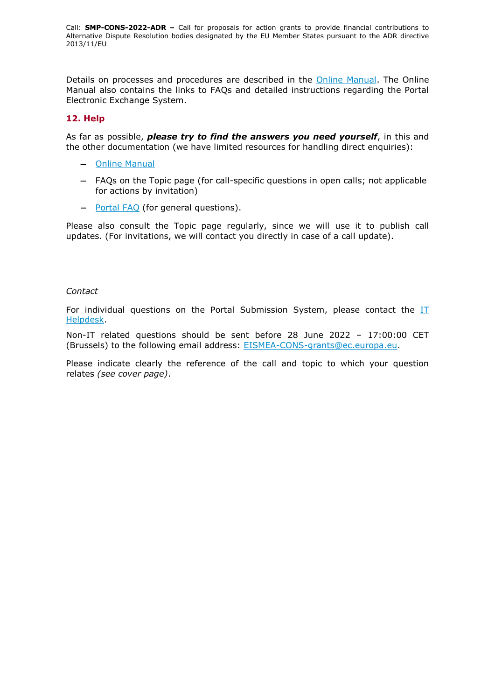Details on processes and procedures are described in the [Online Manual.](https://ec.europa.eu/info/funding-tenders/opportunities/docs/2021-2027/common/guidance/om_en.pdf) The Online Manual also contains the links to FAQs and detailed instructions regarding the Portal Electronic Exchange System.

# <span id="page-17-0"></span>**12. Help**

As far as possible, *please try to find the answers you need yourself*, in this and the other documentation (we have limited resources for handling direct enquiries):

- [Online Manual](https://ec.europa.eu/info/funding-tenders/opportunities/docs/2021-2027/common/guidance/om_en.pdf)
- FAQs on the Topic page (for call-specific questions in open calls; not applicable for actions by invitation)
- [Portal](https://ec.europa.eu/info/funding-tenders/opportunities/portal/screen/support/faq;categories=;programme=null;actions=;keyword=) FAQ (for general questions).

Please also consult the Topic page regularly, since we will use it to publish call updates. (For invitations, we will contact you directly in case of a call update).

#### *Contact*

For individual questions on the Portal Submission System, please contact the  $II$ [Helpdesk.](https://ec.europa.eu/info/funding-tenders/opportunities/portal/screen/support/helpdesks/contact-form)

Non-IT related questions should be sent before 28 June 2022 – 17:00:00 CET (Brussels) to the following email address: [EISMEA-CONS-grants@ec.europa.eu.](mailto:EISMEA-CONS-grants@ec.europa.eu)

Please indicate clearly the reference of the call and topic to which your question relates *(see cover page)*.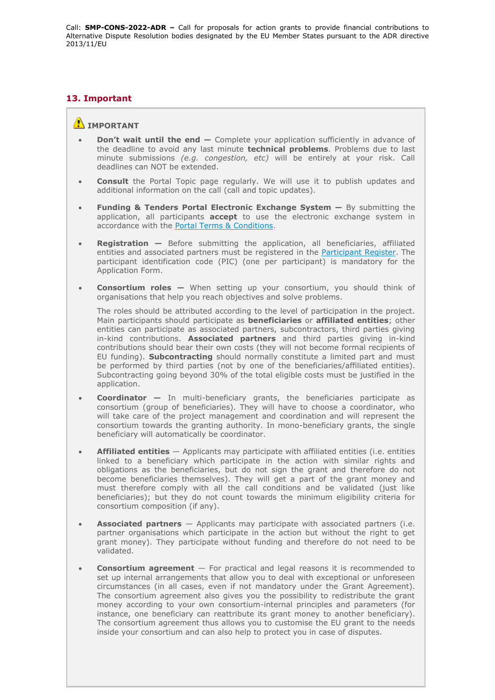# <span id="page-18-0"></span>**13. Important**

#### **IMPORTANT**

- **Don't wait until the end —** Complete your application sufficiently in advance of the deadline to avoid any last minute **technical problems**. Problems due to last minute submissions *(e.g. congestion, etc)* will be entirely at your risk. Call deadlines can NOT be extended.
- **Consult** the Portal Topic page regularly. We will use it to publish updates and additional information on the call (call and topic updates).
- **Funding & Tenders Portal Electronic Exchange System —** By submitting the application, all participants **accept** to use the electronic exchange system in accordance with the [Portal Terms & Conditions.](https://ec.europa.eu/info/funding-tenders/opportunities/docs/2021-2027/common/ftp/tc_en.pdf)
- **Registration —** Before submitting the application, all beneficiaries, affiliated entities and associated partners must be registered in the [Participant Register.](https://ec.europa.eu/info/funding-tenders/opportunities/portal/screen/how-to-participate/participant-register) The participant identification code (PIC) (one per participant) is mandatory for the Application Form.
- **Consortium roles —** When setting up your consortium, you should think of organisations that help you reach objectives and solve problems.

The roles should be attributed according to the level of participation in the project. Main participants should participate as **beneficiaries** or **affiliated entities**; other entities can participate as associated partners, subcontractors, third parties giving in-kind contributions. **Associated partners** and third parties giving in-kind contributions should bear their own costs (they will not become formal recipients of EU funding). **Subcontracting** should normally constitute a limited part and must be performed by third parties (not by one of the beneficiaries/affiliated entities). Subcontracting going beyond 30% of the total eligible costs must be justified in the application.

- **Coordinator —** In multi-beneficiary grants, the beneficiaries participate as consortium (group of beneficiaries). They will have to choose a coordinator, who will take care of the project management and coordination and will represent the consortium towards the granting authority. In mono-beneficiary grants, the single beneficiary will automatically be coordinator.
- **Affiliated entities** Applicants may participate with affiliated entities (i.e. entities linked to a beneficiary which participate in the action with similar rights and obligations as the beneficiaries, but do not sign the grant and therefore do not become beneficiaries themselves). They will get a part of the grant money and must therefore comply with all the call conditions and be validated (just like beneficiaries); but they do not count towards the minimum eligibility criteria for consortium composition (if any).
- **Associated partners** Applicants may participate with associated partners (i.e. partner organisations which participate in the action but without the right to get grant money). They participate without funding and therefore do not need to be validated.
- **Consortium agreement**  For practical and legal reasons it is recommended to set up internal arrangements that allow you to deal with exceptional or unforeseen circumstances (in all cases, even if not mandatory under the Grant Agreement). The consortium agreement also gives you the possibility to redistribute the grant money according to your own consortium-internal principles and parameters (for instance, one beneficiary can reattribute its grant money to another beneficiary). The consortium agreement thus allows you to customise the EU grant to the needs inside your consortium and can also help to protect you in case of disputes.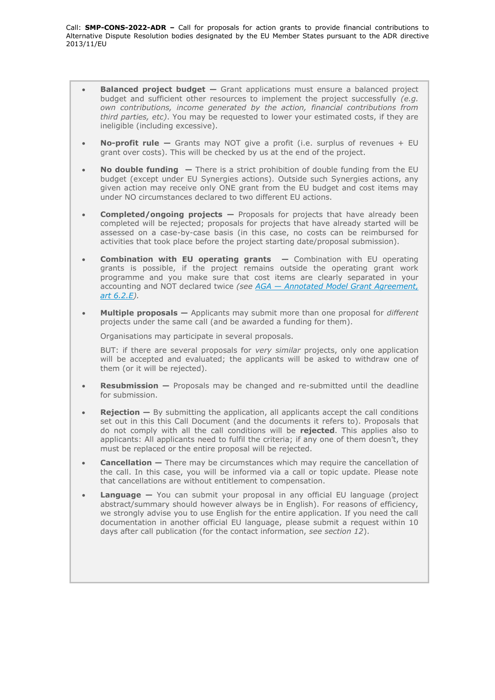- **Balanced project budget —** Grant applications must ensure a balanced project budget and sufficient other resources to implement the project successfully *(e.g. own contributions, income generated by the action, financial contributions from third parties, etc)*. You may be requested to lower your estimated costs, if they are ineligible (including excessive).
- **No-profit rule —** Grants may NOT give a profit (i.e. surplus of revenues + EU grant over costs). This will be checked by us at the end of the project.
- **No double funding —** There is a strict prohibition of double funding from the EU budget (except under EU Synergies actions). Outside such Synergies actions, any given action may receive only ONE grant from the EU budget and cost items may under NO circumstances declared to two different EU actions.
- **Completed/ongoing projects —** Proposals for projects that have already been completed will be rejected; proposals for projects that have already started will be assessed on a case-by-case basis (in this case, no costs can be reimbursed for activities that took place before the project starting date/proposal submission).
- **Combination with EU operating grants —** Combination with EU operating grants is possible, if the project remains outside the operating grant work programme and you make sure that cost items are clearly separated in your accounting and NOT declared twice *(see AGA — [Annotated Model Grant Agreement,](https://ec.europa.eu/info/funding-tenders/opportunities/docs/2021-2027/common/guidance/aga_en.pdf)  [art 6.2.E\)](https://ec.europa.eu/info/funding-tenders/opportunities/docs/2021-2027/common/guidance/aga_en.pdf).*
- **Multiple proposals —** Applicants may submit more than one proposal for *different* projects under the same call (and be awarded a funding for them).

Organisations may participate in several proposals.

BUT: if there are several proposals for *very similar* projects, only one application will be accepted and evaluated; the applicants will be asked to withdraw one of them (or it will be rejected).

- **Resubmission —** Proposals may be changed and re-submitted until the deadline for submission.
- **Rejection** By submitting the application, all applicants accept the call conditions set out in this this Call Document (and the documents it refers to). Proposals that do not comply with all the call conditions will be **rejected**. This applies also to applicants: All applicants need to fulfil the criteria; if any one of them doesn't, they must be replaced or the entire proposal will be rejected.
- **Cancellation —** There may be circumstances which may require the cancellation of the call. In this case, you will be informed via a call or topic update. Please note that cancellations are without entitlement to compensation.
- **Language —** You can submit your proposal in any official EU language (project abstract/summary should however always be in English). For reasons of efficiency, we strongly advise you to use English for the entire application. If you need the call documentation in another official EU language, please submit a request within 10 days after call publication (for the contact information, *see section 12*).